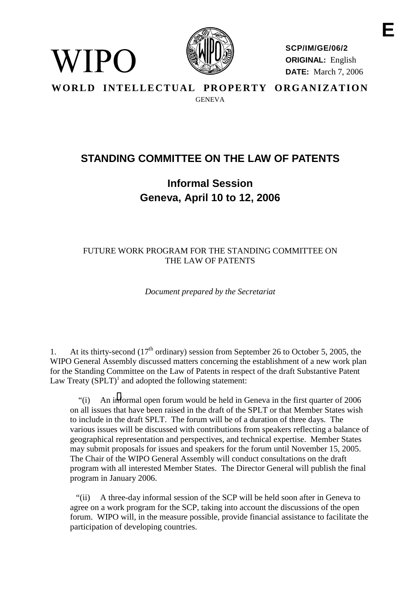

WIPO

**SCP/IM/GE/06/2 ORIGINAL:** English **DATE:** March 7, 2006

**WORLD INTELLECTUAL PROPERTY ORGANIZATION** GENEVA

## **STANDING COMMITTEE ON THE LAW OF PATENTS**

## **Informal Session Geneva, April 10 to 12, 2006**

#### FUTURE WORK PROGRAM FOR THE STANDING COMMITTEE ON THE LAW OF PATENTS

*Document prepared by the Secretariat*

1. At its thirty-second  $(17<sup>th</sup> \text{ ordinary})$  session from September 26 to October 5, 2005, the WIPO General Assembly discussed matters concerning the establishment of a new work plan for the Standing Committee on the Law of Patents in respect of the draft Substantive Patent Law Treaty  $(SPLT)^{1}$  and adopted the following statement:

"(i) An i[nf](#page-2-0)ormal open forum would be held in Geneva in the first quarter of 2006 on all issues that have been raised in the draft of the SPLT or that Member States wish to include in the draft SPLT. The forum will be of a duration of three days. The various issues will be discussed with contributions from speakers reflecting a balance of geographical representation and perspectives, and technical expertise. Member States may submit proposals for issues and speakers for the forum until November 15, 2005. The Chair of the WIPO General Assembly will conduct consultations on the draft program with all interested Member States. The Director General will publish the final program in January 2006.

"(ii) A three-day informal session of the SCP will be held soon after in Geneva to agree on a work program for the SCP, taking into account the discussions of the open forum. WIPO will, in the measure possible, provide financial assistance to facilitate the participation of developing countries.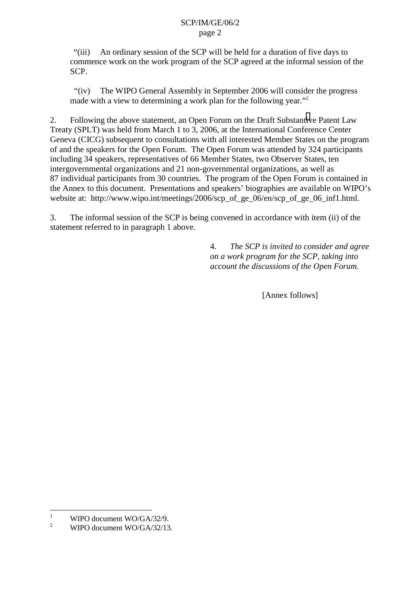"(iii) An ordinary session of the SCP will be held for a duration of five days to commence work on the work program of the SCP agreed at the informal session of the SCP.

"(iv) The WIPO General Assembly in September 2006 will consider the progress made with a view to determining a work plan for the following year."<sup>2</sup>

2. Following the above statement, an Open Forum on the Draft Substant[iv](#page-2-0)e Patent Law Treaty (SPLT) was held from March 1 to 3, 2006, at the International Conference Center Geneva (CICG) subsequent to consultations with all interested Member States on the program of and the speakers for the Open Forum. The Open Forum was attended by 324 participants including 34 speakers, representatives of 66 Member States, two Observer States, ten intergovernmental organizations and 21 non-governmental organizations, as well as 87 individual participants from 30 countries. The program of the Open Forum is contained in the Annex to this document. Presentations and speakers' biographies are available on WIPO's website at: http://www.wipo.int/meetings/2006/scp\_of\_ge\_06/en/scp\_of\_ge\_06\_inf1.html.

3. The informal session of the SCP is being convened in accordance with item (ii) of the statement referred to in paragraph 1 above.

> 4. *The SCP is invited to consider and agree on a work program for the SCP, taking into account the discussions of the Open Forum.*

> > [Annex follows]

 $\frac{1}{1}$ WIPO document WO/GA/32/9.

<sup>2</sup> WIPO document WO/GA/32/13.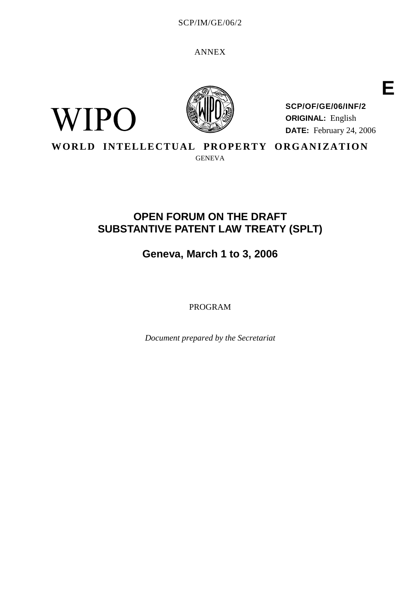SCP/IM/GE/06/2

ANNEX

<span id="page-2-0"></span>



**SCP/OF/GE/06/INF/2 ORIGINAL:** English **DATE:** February 24, 2006 **E**

**WORLD INTELLECTUAL PROPERTY ORGANIZATION**

GENEVA

## **OPEN FORUM ON THE DRAFT SUBSTANTIVE PATENT LAW TREATY (SPLT)**

# **Geneva, March 1 to 3, 2006**

PROGRAM

*Document prepared by the Secretariat*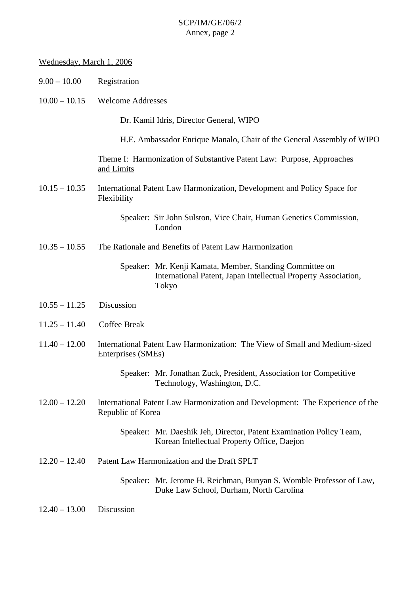| Wednesday, March 1, 2006 |                                                                                                                                     |  |  |  |
|--------------------------|-------------------------------------------------------------------------------------------------------------------------------------|--|--|--|
| $9.00 - 10.00$           | Registration                                                                                                                        |  |  |  |
| $10.00 - 10.15$          | <b>Welcome Addresses</b>                                                                                                            |  |  |  |
|                          | Dr. Kamil Idris, Director General, WIPO                                                                                             |  |  |  |
|                          | H.E. Ambassador Enrique Manalo, Chair of the General Assembly of WIPO                                                               |  |  |  |
|                          | Theme I: Harmonization of Substantive Patent Law: Purpose, Approaches<br>and Limits                                                 |  |  |  |
| $10.15 - 10.35$          | International Patent Law Harmonization, Development and Policy Space for<br>Flexibility                                             |  |  |  |
|                          | Speaker: Sir John Sulston, Vice Chair, Human Genetics Commission,<br>London                                                         |  |  |  |
| $10.35 - 10.55$          | The Rationale and Benefits of Patent Law Harmonization                                                                              |  |  |  |
|                          | Speaker: Mr. Kenji Kamata, Member, Standing Committee on<br>International Patent, Japan Intellectual Property Association,<br>Tokyo |  |  |  |
| $10.55 - 11.25$          | Discussion                                                                                                                          |  |  |  |
| $11.25 - 11.40$          | <b>Coffee Break</b>                                                                                                                 |  |  |  |
| $11.40 - 12.00$          | International Patent Law Harmonization: The View of Small and Medium-sized<br>Enterprises (SMEs)                                    |  |  |  |
|                          | Speaker: Mr. Jonathan Zuck, President, Association for Competitive<br>Technology, Washington, D.C.                                  |  |  |  |
| $12.00 - 12.20$          | International Patent Law Harmonization and Development: The Experience of the<br>Republic of Korea                                  |  |  |  |
|                          | Speaker: Mr. Daeshik Jeh, Director, Patent Examination Policy Team,<br>Korean Intellectual Property Office, Daejon                  |  |  |  |
| $12.20 - 12.40$          | Patent Law Harmonization and the Draft SPLT                                                                                         |  |  |  |
|                          | Speaker: Mr. Jerome H. Reichman, Bunyan S. Womble Professor of Law,<br>Duke Law School, Durham, North Carolina                      |  |  |  |
| $12.40 - 13.00$          | Discussion                                                                                                                          |  |  |  |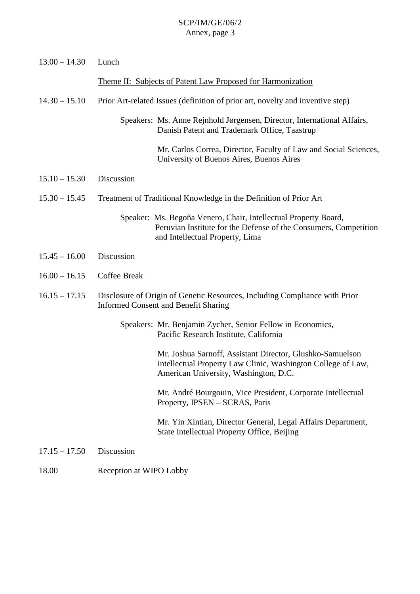| $13.00 - 14.30$ | Lunch                                                                                                                                                                  |  |  |
|-----------------|------------------------------------------------------------------------------------------------------------------------------------------------------------------------|--|--|
|                 | Theme II: Subjects of Patent Law Proposed for Harmonization                                                                                                            |  |  |
| $14.30 - 15.10$ | Prior Art-related Issues (definition of prior art, novelty and inventive step)                                                                                         |  |  |
|                 | Speakers: Ms. Anne Rejnhold Jørgensen, Director, International Affairs,<br>Danish Patent and Trademark Office, Taastrup                                                |  |  |
|                 | Mr. Carlos Correa, Director, Faculty of Law and Social Sciences,<br>University of Buenos Aires, Buenos Aires                                                           |  |  |
| $15.10 - 15.30$ | Discussion                                                                                                                                                             |  |  |
| $15.30 - 15.45$ | Treatment of Traditional Knowledge in the Definition of Prior Art                                                                                                      |  |  |
|                 | Speaker: Ms. Begoña Venero, Chair, Intellectual Property Board,<br>Peruvian Institute for the Defense of the Consumers, Competition<br>and Intellectual Property, Lima |  |  |
| $15.45 - 16.00$ | Discussion                                                                                                                                                             |  |  |
| $16.00 - 16.15$ | <b>Coffee Break</b>                                                                                                                                                    |  |  |
| $16.15 - 17.15$ | Disclosure of Origin of Genetic Resources, Including Compliance with Prior<br><b>Informed Consent and Benefit Sharing</b>                                              |  |  |
|                 | Speakers: Mr. Benjamin Zycher, Senior Fellow in Economics,<br>Pacific Research Institute, California                                                                   |  |  |
|                 | Mr. Joshua Sarnoff, Assistant Director, Glushko-Samuelson<br>Intellectual Property Law Clinic, Washington College of Law,<br>American University, Washington, D.C.     |  |  |
|                 | Mr. André Bourgouin, Vice President, Corporate Intellectual<br>Property, IPSEN – SCRAS, Paris                                                                          |  |  |
|                 | Mr. Yin Xintian, Director General, Legal Affairs Department,<br>State Intellectual Property Office, Beijing                                                            |  |  |
| $17.15 - 17.50$ | Discussion                                                                                                                                                             |  |  |

18.00 Reception at WIPO Lobby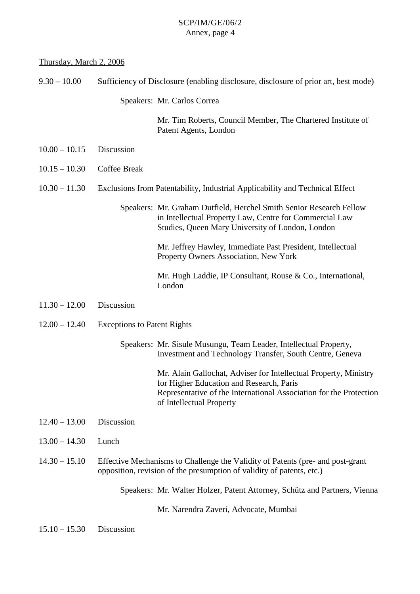### Thursday, March 2, 2006

| $9.30 - 10.00$  | Sufficiency of Disclosure (enabling disclosure, disclosure of prior art, best mode)                                                                     |                                                                                                                                                                                                                |  |
|-----------------|---------------------------------------------------------------------------------------------------------------------------------------------------------|----------------------------------------------------------------------------------------------------------------------------------------------------------------------------------------------------------------|--|
|                 |                                                                                                                                                         | Speakers: Mr. Carlos Correa                                                                                                                                                                                    |  |
|                 |                                                                                                                                                         | Mr. Tim Roberts, Council Member, The Chartered Institute of<br>Patent Agents, London                                                                                                                           |  |
| $10.00 - 10.15$ | Discussion                                                                                                                                              |                                                                                                                                                                                                                |  |
| $10.15 - 10.30$ | Coffee Break                                                                                                                                            |                                                                                                                                                                                                                |  |
| $10.30 - 11.30$ | Exclusions from Patentability, Industrial Applicability and Technical Effect                                                                            |                                                                                                                                                                                                                |  |
|                 |                                                                                                                                                         | Speakers: Mr. Graham Dutfield, Herchel Smith Senior Research Fellow<br>in Intellectual Property Law, Centre for Commercial Law<br>Studies, Queen Mary University of London, London                             |  |
|                 |                                                                                                                                                         | Mr. Jeffrey Hawley, Immediate Past President, Intellectual<br>Property Owners Association, New York                                                                                                            |  |
|                 |                                                                                                                                                         | Mr. Hugh Laddie, IP Consultant, Rouse & Co., International,<br>London                                                                                                                                          |  |
| $11.30 - 12.00$ | Discussion                                                                                                                                              |                                                                                                                                                                                                                |  |
| $12.00 - 12.40$ | <b>Exceptions to Patent Rights</b>                                                                                                                      |                                                                                                                                                                                                                |  |
|                 |                                                                                                                                                         | Speakers: Mr. Sisule Musungu, Team Leader, Intellectual Property,<br>Investment and Technology Transfer, South Centre, Geneva                                                                                  |  |
|                 |                                                                                                                                                         | Mr. Alain Gallochat, Adviser for Intellectual Property, Ministry<br>for Higher Education and Research, Paris<br>Representative of the International Association for the Protection<br>of Intellectual Property |  |
| $12.40 - 13.00$ | Discussion                                                                                                                                              |                                                                                                                                                                                                                |  |
| $13.00 - 14.30$ | Lunch                                                                                                                                                   |                                                                                                                                                                                                                |  |
| $14.30 - 15.10$ | Effective Mechanisms to Challenge the Validity of Patents (pre- and post-grant<br>opposition, revision of the presumption of validity of patents, etc.) |                                                                                                                                                                                                                |  |
|                 |                                                                                                                                                         | Speakers: Mr. Walter Holzer, Patent Attorney, Schütz and Partners, Vienna                                                                                                                                      |  |
|                 |                                                                                                                                                         | Mr. Narendra Zaveri, Advocate, Mumbai                                                                                                                                                                          |  |
| $15.10 - 15.30$ | Discussion                                                                                                                                              |                                                                                                                                                                                                                |  |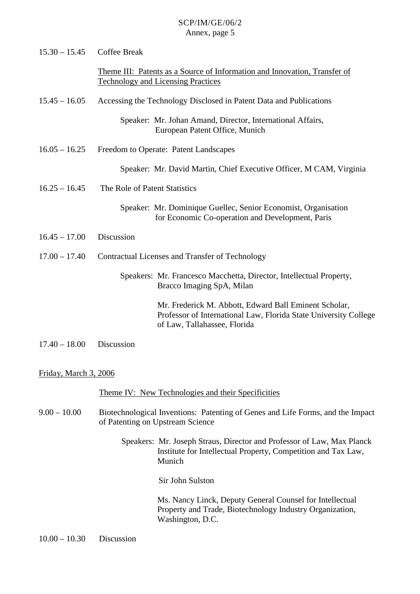| $15.30 - 15.45$       | Coffee Break                                                                                                                                              |  |
|-----------------------|-----------------------------------------------------------------------------------------------------------------------------------------------------------|--|
|                       | Theme III: Patents as a Source of Information and Innovation, Transfer of<br><b>Technology and Licensing Practices</b>                                    |  |
| $15.45 - 16.05$       | Accessing the Technology Disclosed in Patent Data and Publications                                                                                        |  |
|                       | Speaker: Mr. Johan Amand, Director, International Affairs,<br>European Patent Office, Munich                                                              |  |
| $16.05 - 16.25$       | Freedom to Operate: Patent Landscapes                                                                                                                     |  |
|                       | Speaker: Mr. David Martin, Chief Executive Officer, M CAM, Virginia                                                                                       |  |
| $16.25 - 16.45$       | The Role of Patent Statistics                                                                                                                             |  |
|                       | Speaker: Mr. Dominique Guellec, Senior Economist, Organisation<br>for Economic Co-operation and Development, Paris                                        |  |
| $16.45 - 17.00$       | Discussion                                                                                                                                                |  |
| $17.00 - 17.40$       | Contractual Licenses and Transfer of Technology                                                                                                           |  |
|                       | Speakers: Mr. Francesco Macchetta, Director, Intellectual Property,<br>Bracco Imaging SpA, Milan                                                          |  |
|                       | Mr. Frederick M. Abbott, Edward Ball Eminent Scholar,<br>Professor of International Law, Florida State University College<br>of Law, Tallahassee, Florida |  |
| $17.40 - 18.00$       | Discussion                                                                                                                                                |  |
| Friday, March 3, 2006 |                                                                                                                                                           |  |
|                       | <u>Theme IV: New Technologies and their Specificities</u>                                                                                                 |  |
| $9.00 - 10.00$        | Biotechnological Inventions: Patenting of Genes and Life Forms, and the Impact<br>of Patenting on Upstream Science                                        |  |
|                       | Speakers: Mr. Joseph Straus, Director and Professor of Law, Max Planck<br>Institute for Intellectual Property, Competition and Tax Law,<br>Munich         |  |
|                       | Sir John Sulston                                                                                                                                          |  |
|                       | Ms. Nancy Linck, Deputy General Counsel for Intellectual<br>Property and Trade, Biotechnology Industry Organization,<br>Washington, D.C.                  |  |

10.00 – 10.30 Discussion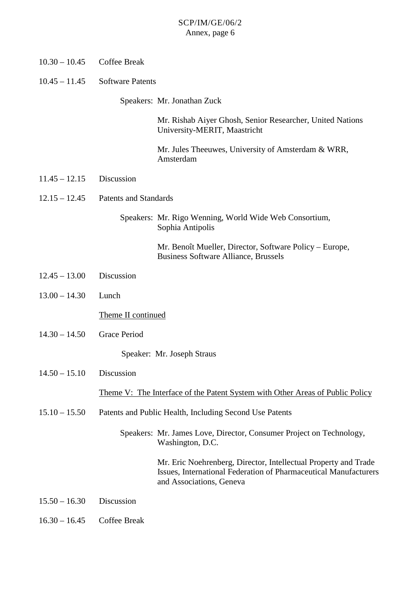| $10.30 - 10.45$ | Coffee Break                                                                         |                                                                                                                                                                 |  |
|-----------------|--------------------------------------------------------------------------------------|-----------------------------------------------------------------------------------------------------------------------------------------------------------------|--|
| $10.45 - 11.45$ | <b>Software Patents</b>                                                              |                                                                                                                                                                 |  |
|                 |                                                                                      | Speakers: Mr. Jonathan Zuck                                                                                                                                     |  |
|                 |                                                                                      | Mr. Rishab Aiyer Ghosh, Senior Researcher, United Nations<br>University-MERIT, Maastricht                                                                       |  |
|                 |                                                                                      | Mr. Jules Theeuwes, University of Amsterdam & WRR,<br>Amsterdam                                                                                                 |  |
| $11.45 - 12.15$ | Discussion                                                                           |                                                                                                                                                                 |  |
| $12.15 - 12.45$ | <b>Patents and Standards</b>                                                         |                                                                                                                                                                 |  |
|                 |                                                                                      | Speakers: Mr. Rigo Wenning, World Wide Web Consortium,<br>Sophia Antipolis                                                                                      |  |
|                 |                                                                                      | Mr. Benoît Mueller, Director, Software Policy – Europe,<br><b>Business Software Alliance, Brussels</b>                                                          |  |
| $12.45 - 13.00$ | Discussion                                                                           |                                                                                                                                                                 |  |
| $13.00 - 14.30$ | Lunch                                                                                |                                                                                                                                                                 |  |
|                 | Theme II continued                                                                   |                                                                                                                                                                 |  |
| $14.30 - 14.50$ | <b>Grace Period</b>                                                                  |                                                                                                                                                                 |  |
|                 |                                                                                      | Speaker: Mr. Joseph Straus                                                                                                                                      |  |
| $14.50 - 15.10$ | Discussion                                                                           |                                                                                                                                                                 |  |
|                 | <u>Theme V: The Interface of the Patent System with Other Areas of Public Policy</u> |                                                                                                                                                                 |  |
| $15.10 - 15.50$ | Patents and Public Health, Including Second Use Patents                              |                                                                                                                                                                 |  |
|                 |                                                                                      | Speakers: Mr. James Love, Director, Consumer Project on Technology,<br>Washington, D.C.                                                                         |  |
|                 |                                                                                      | Mr. Eric Noehrenberg, Director, Intellectual Property and Trade<br>Issues, International Federation of Pharmaceutical Manufacturers<br>and Associations, Geneva |  |
| $15.50 - 16.30$ | Discussion                                                                           |                                                                                                                                                                 |  |
| $16.30 - 16.45$ | Coffee Break                                                                         |                                                                                                                                                                 |  |